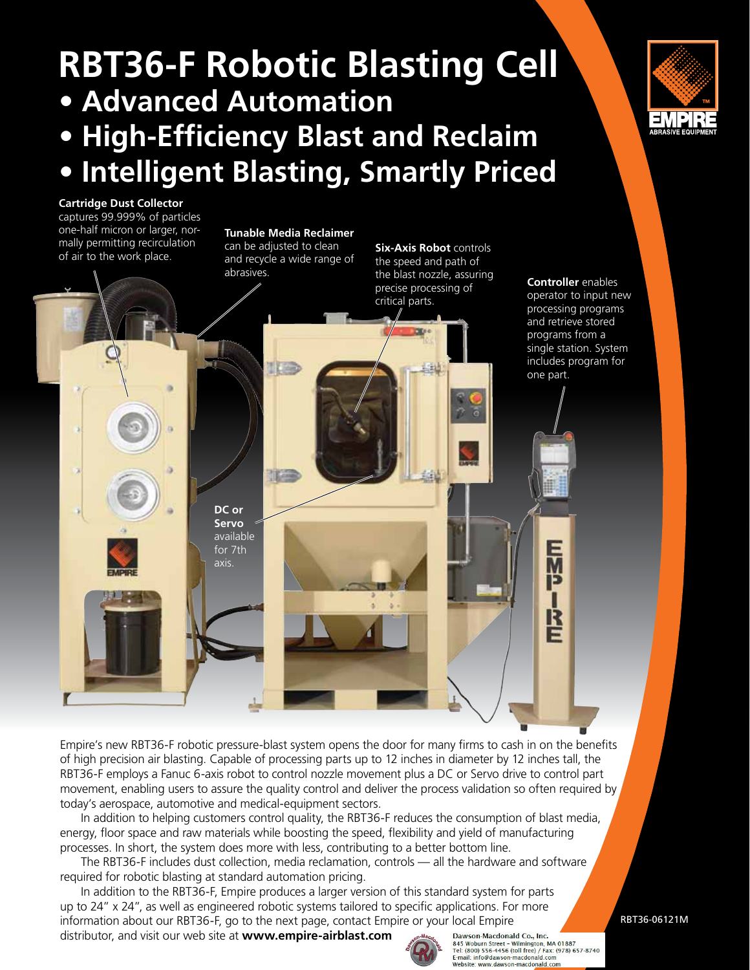# **RBT36-F Robotic Blasting Cell • Advanced Automation • High-Efficiency Blast and Reclaim • Intelligent Blasting, Smartly Priced**



#### **Cartridge Dust Collector**  captures 99.999% of particles one-half micron or larger, normally permitting recirculation

mally permitting recirculation and recivile a dijusted to clean **Six-Axis Robot** controls<br>of air to the work place. And recycle a wide range of the spood and path of **Tunable Media Reclaimer**  can be adjusted to clean and recycle a wide range of abrasives.

the speed and path of the blast nozzle, assuring precise processing of critical parts.

**Controller** enables operator to input new processing programs and retrieve stored programs from a single station. System includes program for one part.

辰

R

Empire's new RBT36-F robotic pressure-blast system opens the door for many firms to cash in on the benefits of high precision air blasting. Capable of processing parts up to 12 inches in diameter by 12 inches tall, the RBT36-F employs a Fanuc 6-axis robot to control nozzle movement plus a DC or Servo drive to control part movement, enabling users to assure the quality control and deliver the process validation so often required by today's aerospace, automotive and medical-equipment sectors.

 In addition to helping customers control quality, the RBT36-F reduces the consumption of blast media, energy, floor space and raw materials while boosting the speed, flexibility and yield of manufacturing processes. In short, the system does more with less, contributing to a better bottom line.

 The RBT36-F includes dust collection, media reclamation, controls — all the hardware and software required for robotic blasting at standard automation pricing.

 In addition to the RBT36-F, Empire produces a larger version of this standard system for parts up to 24" x 24", as well as engineered robotic systems tailored to specific applications. For more information about our RBT36-F, go to the next page, contact Empire or your local Empire

distributor, and visit our web site at **www.empire-airblast.com**

**DC or Servo**  available for 7th axis.



Dawson-Macdonald Co., Inc. Dawson-Iwacuonial Co., inc.<br>
845 Woburn Street – Wilmigton, MA 01887<br>
Tel: (800) 556-4456 (toll free) / Fax: (978) 657-8740<br>
E-mail: info@dawson-macdonald.com Website: www.dawson-macdonald.com

RBT36-06121M